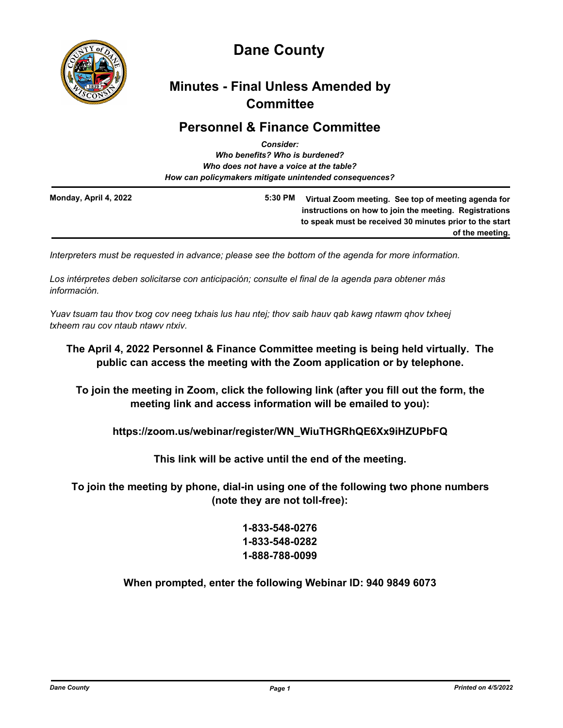

# **Dane County**

# **Minutes - Final Unless Amended by Committee**

## **Personnel & Finance Committee** *Consider:*

| <i><b>Consider:</b></i><br>Who benefits? Who is burdened?<br>Who does not have a voice at the table?<br>How can policymakers mitigate unintended consequences? |         |                                                                                                                                                                                             |
|----------------------------------------------------------------------------------------------------------------------------------------------------------------|---------|---------------------------------------------------------------------------------------------------------------------------------------------------------------------------------------------|
| Monday, April 4, 2022                                                                                                                                          | 5:30 PM | Virtual Zoom meeting. See top of meeting agenda for<br>instructions on how to join the meeting. Registrations<br>to speak must be received 30 minutes prior to the start<br>of the meeting. |

*Interpreters must be requested in advance; please see the bottom of the agenda for more information.*

*Los intérpretes deben solicitarse con anticipación; consulte el final de la agenda para obtener más información.*

*Yuav tsuam tau thov txog cov neeg txhais lus hau ntej; thov saib hauv qab kawg ntawm qhov txheej txheem rau cov ntaub ntawv ntxiv.*

# **The April 4, 2022 Personnel & Finance Committee meeting is being held virtually. The public can access the meeting with the Zoom application or by telephone.**

**To join the meeting in Zoom, click the following link (after you fill out the form, the meeting link and access information will be emailed to you):**

**https://zoom.us/webinar/register/WN\_WiuTHGRhQE6Xx9iHZUPbFQ**

**This link will be active until the end of the meeting.**

**To join the meeting by phone, dial-in using one of the following two phone numbers (note they are not toll-free):**

# **1-833-548-0276 1-833-548-0282 1-888-788-0099**

**When prompted, enter the following Webinar ID: 940 9849 6073**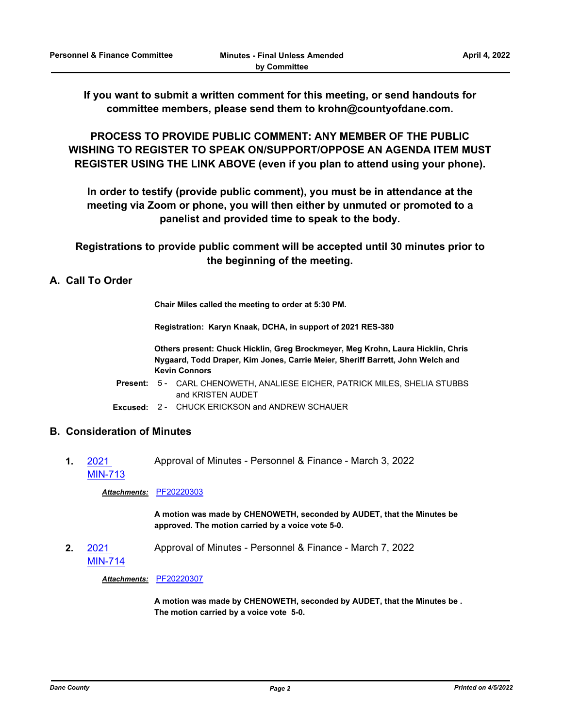**If you want to submit a written comment for this meeting, or send handouts for committee members, please send them to krohn@countyofdane.com.**

**PROCESS TO PROVIDE PUBLIC COMMENT: ANY MEMBER OF THE PUBLIC WISHING TO REGISTER TO SPEAK ON/SUPPORT/OPPOSE AN AGENDA ITEM MUST REGISTER USING THE LINK ABOVE (even if you plan to attend using your phone).**

**In order to testify (provide public comment), you must be in attendance at the meeting via Zoom or phone, you will then either by unmuted or promoted to a panelist and provided time to speak to the body.**

**Registrations to provide public comment will be accepted until 30 minutes prior to the beginning of the meeting.**

## **A. Call To Order**

**Chair Miles called the meeting to order at 5:30 PM.**

**Registration: Karyn Knaak, DCHA, in support of 2021 RES-380**

**Others present: Chuck Hicklin, Greg Brockmeyer, Meg Krohn, Laura Hicklin, Chris Nygaard, Todd Draper, Kim Jones, Carrie Meier, Sheriff Barrett, John Welch and Kevin Connors**

Present: 5 - CARL CHENOWETH, ANALIESE EICHER, PATRICK MILES, SHELIA STUBBS and KRISTEN AUDET

**Excused:** 2 - CHUCK ERICKSON and ANDREW SCHAUER

## **B. Consideration of Minutes**

**1.** 2021 [MIN-713](http://dane.legistar.com/gateway.aspx?m=l&id=/matter.aspx?key=22577) Approval of Minutes - Personnel & Finance - March 3, 2022

*Attachments:* [PF20220303](http://dane.legistar.com/gateway.aspx?M=F&ID=118ea5f2-3805-490c-895f-39498951fefb.pdf)

**A motion was made by CHENOWETH, seconded by AUDET, that the Minutes be approved. The motion carried by a voice vote 5-0.**

**2.** 2021 [MIN-714](http://dane.legistar.com/gateway.aspx?m=l&id=/matter.aspx?key=22578) Approval of Minutes - Personnel & Finance - March 7, 2022

*Attachments:* [PF20220307](http://dane.legistar.com/gateway.aspx?M=F&ID=544f7966-9512-4c43-95d2-086ec58db1bb.pdf)

**A motion was made by CHENOWETH, seconded by AUDET, that the Minutes be . The motion carried by a voice vote 5-0.**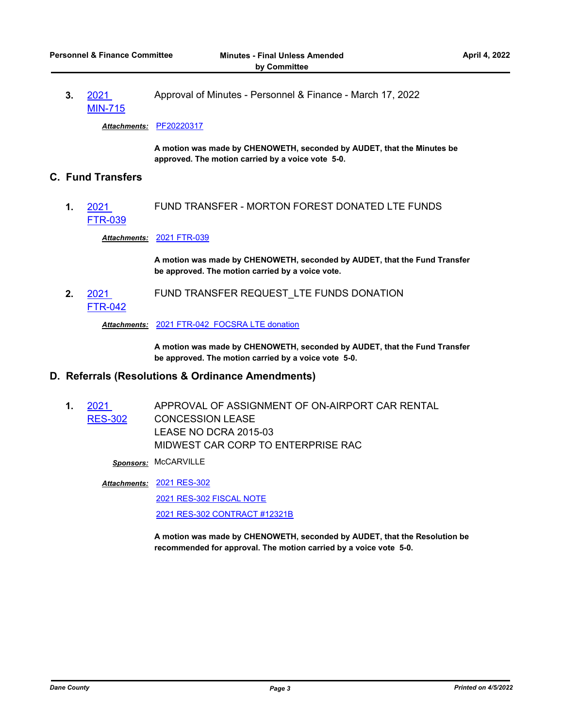**3.** 2021 [MIN-715](http://dane.legistar.com/gateway.aspx?m=l&id=/matter.aspx?key=22579) Approval of Minutes - Personnel & Finance - March 17, 2022

*Attachments:* [PF20220317](http://dane.legistar.com/gateway.aspx?M=F&ID=1f7b642f-22ff-4cd4-a7b4-f4a5f92c7f6c.pdf)

**A motion was made by CHENOWETH, seconded by AUDET, that the Minutes be approved. The motion carried by a voice vote 5-0.**

### **C. Fund Transfers**

**1.** 2021 [FTR-039](http://dane.legistar.com/gateway.aspx?m=l&id=/matter.aspx?key=22243) FUND TRANSFER - MORTON FOREST DONATED LTE FUNDS

*Attachments:* [2021 FTR-039](http://dane.legistar.com/gateway.aspx?M=F&ID=1f69d4ac-ae27-43f6-a736-abb33156657b.pdf)

**A motion was made by CHENOWETH, seconded by AUDET, that the Fund Transfer be approved. The motion carried by a voice vote.**

**2.** 2021 [FTR-042](http://dane.legistar.com/gateway.aspx?m=l&id=/matter.aspx?key=22445) FUND TRANSFER REQUEST\_LTE FUNDS DONATION

*Attachments:* [2021 FTR-042\\_FOCSRA LTE donation](http://dane.legistar.com/gateway.aspx?M=F&ID=da6faf9c-de97-4755-8c21-d1a70f512a08.pdf)

**A motion was made by CHENOWETH, seconded by AUDET, that the Fund Transfer be approved. The motion carried by a voice vote 5-0.**

#### **D. Referrals (Resolutions & Ordinance Amendments)**

**1.** 2021 [RES-302](http://dane.legistar.com/gateway.aspx?m=l&id=/matter.aspx?key=21891) APPROVAL OF ASSIGNMENT OF ON-AIRPORT CAR RENTAL CONCESSION LEASE LEASE NO DCRA 2015-03 MIDWEST CAR CORP TO ENTERPRISE RAC

*Sponsors:* McCARVILLE

[2021 RES-302](http://dane.legistar.com/gateway.aspx?M=F&ID=f1aba254-1e43-446b-9811-12adf76ac13c.pdf) *Attachments:* [2021 RES-302 FISCAL NOTE](http://dane.legistar.com/gateway.aspx?M=F&ID=73030a24-11c9-4aa7-ac17-baad32200f42.pdf) [2021 RES-302 CONTRACT #12321B](http://dane.legistar.com/gateway.aspx?M=F&ID=da1d3166-85c6-4ad3-b331-9735d5332530.pdf)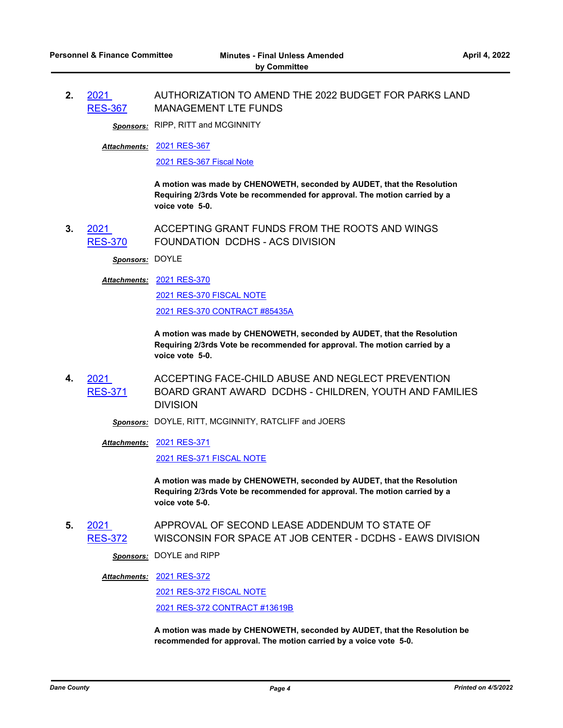**2.** 2021 [RES-367](http://dane.legistar.com/gateway.aspx?m=l&id=/matter.aspx?key=22267) AUTHORIZATION TO AMEND THE 2022 BUDGET FOR PARKS LAND MANAGEMENT LTE FUNDS

**Sponsors:** RIPP, RITT and MCGINNITY

[2021 RES-367](http://dane.legistar.com/gateway.aspx?M=F&ID=7530ebab-515a-491c-a4a7-1813c693a394.pdf) *Attachments:*

[2021 RES-367 Fiscal Note](http://dane.legistar.com/gateway.aspx?M=F&ID=7d32ca6c-952a-401e-babe-16a24099431c.pdf)

**A motion was made by CHENOWETH, seconded by AUDET, that the Resolution Requiring 2/3rds Vote be recommended for approval. The motion carried by a voice vote 5-0.**

**3.** 2021 [RES-370](http://dane.legistar.com/gateway.aspx?m=l&id=/matter.aspx?key=22278) ACCEPTING GRANT FUNDS FROM THE ROOTS AND WINGS FOUNDATION DCDHS - ACS DIVISION

*Sponsors:* DOYLE

[2021 RES-370](http://dane.legistar.com/gateway.aspx?M=F&ID=05a937c8-a828-45f9-aae4-e885f56e687d.pdf) *Attachments:*

[2021 RES-370 FISCAL NOTE](http://dane.legistar.com/gateway.aspx?M=F&ID=63c44da7-1b00-4285-8e3b-2a88b43b6b91.pdf)

[2021 RES-370 CONTRACT #85435A](http://dane.legistar.com/gateway.aspx?M=F&ID=fa367989-6f86-4e13-a552-5297a619154a.pdf)

**A motion was made by CHENOWETH, seconded by AUDET, that the Resolution Requiring 2/3rds Vote be recommended for approval. The motion carried by a voice vote 5-0.**

**4.** 2021 [RES-371](http://dane.legistar.com/gateway.aspx?m=l&id=/matter.aspx?key=22279) ACCEPTING FACE-CHILD ABUSE AND NEGLECT PREVENTION BOARD GRANT AWARD DCDHS - CHILDREN, YOUTH AND FAMILIES DIVISION

*Sponsors:* DOYLE, RITT, MCGINNITY, RATCLIFF and JOERS

[2021 RES-371](http://dane.legistar.com/gateway.aspx?M=F&ID=af77ed71-daf5-4c6b-b5ff-84423dcbb708.pdf) *Attachments:*

[2021 RES-371 FISCAL NOTE](http://dane.legistar.com/gateway.aspx?M=F&ID=b62a55c4-f215-4e48-8c88-ba8d8472526b.pdf)

**A motion was made by CHENOWETH, seconded by AUDET, that the Resolution Requiring 2/3rds Vote be recommended for approval. The motion carried by a voice vote 5-0.**

**5.** 2021 [RES-372](http://dane.legistar.com/gateway.aspx?m=l&id=/matter.aspx?key=22280) APPROVAL OF SECOND LEASE ADDENDUM TO STATE OF WISCONSIN FOR SPACE AT JOB CENTER - DCDHS - EAWS DIVISION

*Sponsors:* DOYLE and RIPP

[2021 RES-372](http://dane.legistar.com/gateway.aspx?M=F&ID=38aa3798-a2d3-419d-8d6c-d9d925e9d48f.pdf) *Attachments:*

[2021 RES-372 FISCAL NOTE](http://dane.legistar.com/gateway.aspx?M=F&ID=08768077-78e6-4407-bb52-80b0d6bc2a29.pdf) [2021 RES-372 CONTRACT #13619B](http://dane.legistar.com/gateway.aspx?M=F&ID=d9e7a73b-7c03-4a70-972d-df7df220d453.pdf)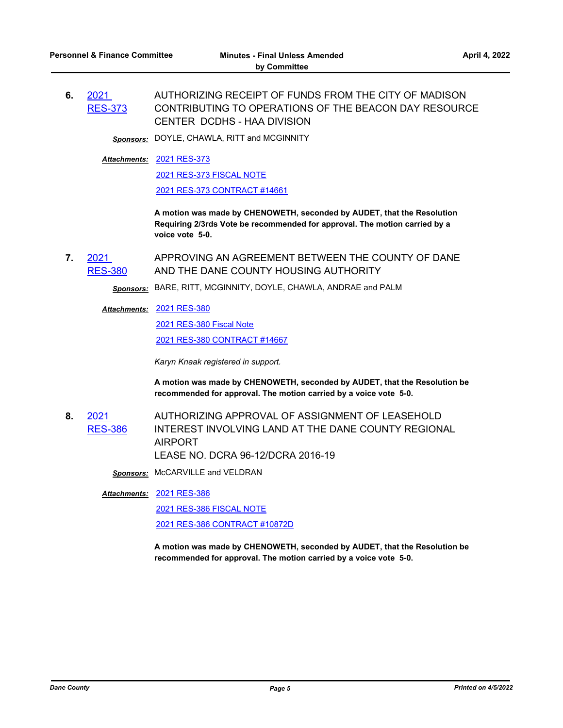*Sponsors:* DOYLE, CHAWLA, RITT and MCGINNITY

[2021 RES-373](http://dane.legistar.com/gateway.aspx?M=F&ID=8bf24216-c88a-4e95-aeed-c094fb5b9aee.pdf) *Attachments:*

[2021 RES-373 FISCAL NOTE](http://dane.legistar.com/gateway.aspx?M=F&ID=e98d57db-0ad6-4bdf-a83f-604ee8bbaac2.pdf)

[2021 RES-373 CONTRACT #14661](http://dane.legistar.com/gateway.aspx?M=F&ID=03889663-2064-4a26-b375-1e4228317fd9.pdf)

**A motion was made by CHENOWETH, seconded by AUDET, that the Resolution Requiring 2/3rds Vote be recommended for approval. The motion carried by a voice vote 5-0.**

**7.** 2021 [RES-380](http://dane.legistar.com/gateway.aspx?m=l&id=/matter.aspx?key=22299) APPROVING AN AGREEMENT BETWEEN THE COUNTY OF DANE AND THE DANE COUNTY HOUSING AUTHORITY

*Sponsors:* BARE, RITT, MCGINNITY, DOYLE, CHAWLA, ANDRAE and PALM

[2021 RES-380](http://dane.legistar.com/gateway.aspx?M=F&ID=2b2cb83b-2461-4bbf-b188-180c8c46e00f.pdf) *Attachments:*

[2021 RES-380 Fiscal Note](http://dane.legistar.com/gateway.aspx?M=F&ID=60b51a2a-3a13-476e-9e41-8b1a35724412.pdf)

[2021 RES-380 CONTRACT #14667](http://dane.legistar.com/gateway.aspx?M=F&ID=074ff58c-bc86-435c-ac34-d2f86d31392f.pdf)

*Karyn Knaak registered in support.*

**A motion was made by CHENOWETH, seconded by AUDET, that the Resolution be recommended for approval. The motion carried by a voice vote 5-0.**

- **8.** 2021 [RES-386](http://dane.legistar.com/gateway.aspx?m=l&id=/matter.aspx?key=22349) AUTHORIZING APPROVAL OF ASSIGNMENT OF LEASEHOLD INTEREST INVOLVING LAND AT THE DANE COUNTY REGIONAL AIRPORT LEASE NO. DCRA 96-12/DCRA 2016-19
	- *Sponsors:* McCARVILLE and VELDRAN

[2021 RES-386](http://dane.legistar.com/gateway.aspx?M=F&ID=0ccd6b21-3653-41cd-a8e2-62a528b0d769.pdf) *Attachments:*

[2021 RES-386 FISCAL NOTE](http://dane.legistar.com/gateway.aspx?M=F&ID=5eea54dc-122b-482e-ac8d-1c14824d821d.pdf)

[2021 RES-386 CONTRACT #10872D](http://dane.legistar.com/gateway.aspx?M=F&ID=5845bd65-e033-4d51-9204-e6f5ef5fd43b.pdf)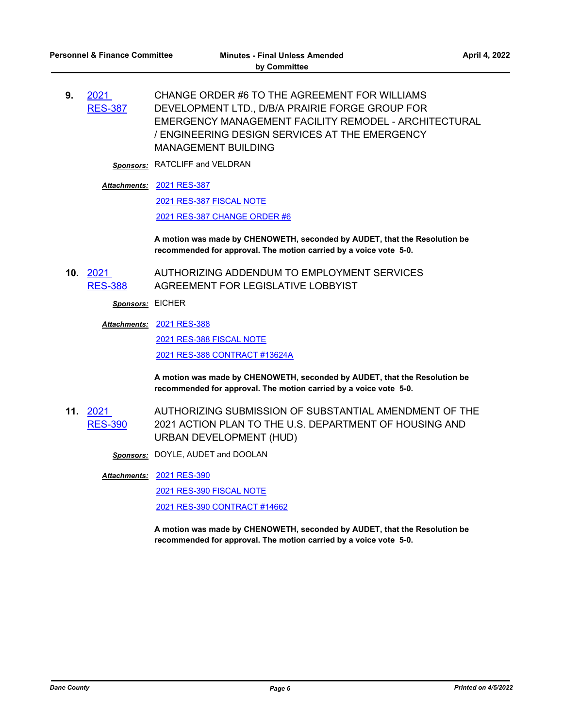**9.** 2021 [RES-387](http://dane.legistar.com/gateway.aspx?m=l&id=/matter.aspx?key=22363) CHANGE ORDER #6 TO THE AGREEMENT FOR WILLIAMS DEVELOPMENT LTD., D/B/A PRAIRIE FORGE GROUP FOR EMERGENCY MANAGEMENT FACILITY REMODEL - ARCHITECTURAL / ENGINEERING DESIGN SERVICES AT THE EMERGENCY MANAGEMENT BUILDING

*Sponsors:* RATCLIFF and VELDRAN

#### [2021 RES-387](http://dane.legistar.com/gateway.aspx?M=F&ID=2be5ac56-06be-4ca0-ab56-04e2dd3dcd37.pdf) *Attachments:*

[2021 RES-387 FISCAL NOTE](http://dane.legistar.com/gateway.aspx?M=F&ID=9a757439-da87-41a5-acbc-55ee0e006925.pdf)

[2021 RES-387 CHANGE ORDER #6](http://dane.legistar.com/gateway.aspx?M=F&ID=ac61d0fc-b6ba-49b8-a8c5-736466e89276.pdf)

**A motion was made by CHENOWETH, seconded by AUDET, that the Resolution be recommended for approval. The motion carried by a voice vote 5-0.**

**10.** 2021 [RES-388](http://dane.legistar.com/gateway.aspx?m=l&id=/matter.aspx?key=22365) AUTHORIZING ADDENDUM TO EMPLOYMENT SERVICES AGREEMENT FOR LEGISLATIVE LOBBYIST

*Sponsors:* EICHER

#### [2021 RES-388](http://dane.legistar.com/gateway.aspx?M=F&ID=f005f04f-0054-4d25-95aa-2ee4d6928429.pdf) *Attachments:*

[2021 RES-388 FISCAL NOTE](http://dane.legistar.com/gateway.aspx?M=F&ID=a7d8f61c-5390-4f0d-84d6-4d0ca5b5efd1.pdf) [2021 RES-388 CONTRACT #13624A](http://dane.legistar.com/gateway.aspx?M=F&ID=d326434a-a7e2-4275-8245-b0e0d412e6ea.pdf)

**A motion was made by CHENOWETH, seconded by AUDET, that the Resolution be recommended for approval. The motion carried by a voice vote 5-0.**

- **11.** 2021 [RES-390](http://dane.legistar.com/gateway.aspx?m=l&id=/matter.aspx?key=22381) AUTHORIZING SUBMISSION OF SUBSTANTIAL AMENDMENT OF THE 2021 ACTION PLAN TO THE U.S. DEPARTMENT OF HOUSING AND URBAN DEVELOPMENT (HUD)
	- *Sponsors:* DOYLE, AUDET and DOOLAN

[2021 RES-390](http://dane.legistar.com/gateway.aspx?M=F&ID=74b854ab-ae5d-4662-be4b-d17414cfdde7.pdf) *Attachments:*

[2021 RES-390 FISCAL NOTE](http://dane.legistar.com/gateway.aspx?M=F&ID=d310c3b6-56b0-4867-9804-720f87275a0a.pdf) [2021 RES-390 CONTRACT #14662](http://dane.legistar.com/gateway.aspx?M=F&ID=29665e8e-641e-49aa-af9e-7e0cfcb6ef03.pdf)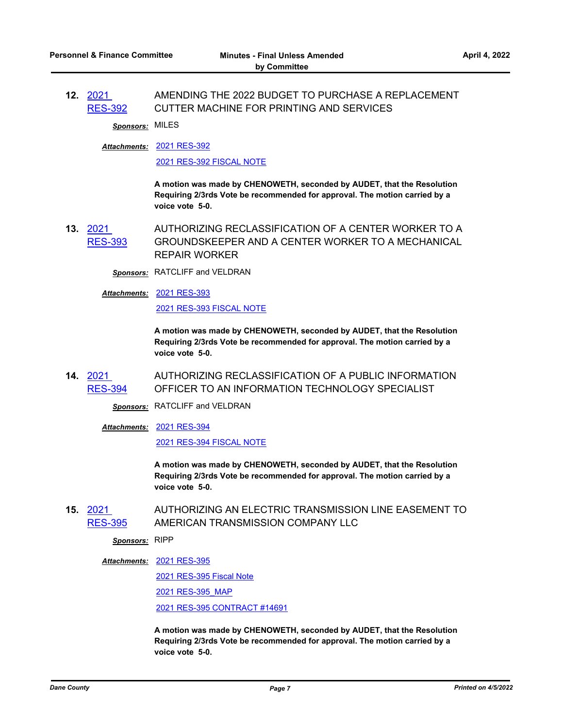**12.** 2021 [RES-392](http://dane.legistar.com/gateway.aspx?m=l&id=/matter.aspx?key=22393) AMENDING THE 2022 BUDGET TO PURCHASE A REPLACEMENT CUTTER MACHINE FOR PRINTING AND SERVICES

*Sponsors:* MILES

[2021 RES-392](http://dane.legistar.com/gateway.aspx?M=F&ID=1364e6e3-4c56-445b-9bd2-f66b3f7d1095.pdf) *Attachments:*

[2021 RES-392 FISCAL NOTE](http://dane.legistar.com/gateway.aspx?M=F&ID=d7930298-b1ab-4c41-8855-7a7441e7bd30.pdf)

**A motion was made by CHENOWETH, seconded by AUDET, that the Resolution Requiring 2/3rds Vote be recommended for approval. The motion carried by a voice vote 5-0.**

**13.** 2021 [RES-393](http://dane.legistar.com/gateway.aspx?m=l&id=/matter.aspx?key=22400) AUTHORIZING RECLASSIFICATION OF A CENTER WORKER TO A GROUNDSKEEPER AND A CENTER WORKER TO A MECHANICAL REPAIR WORKER

*Sponsors:* RATCLIFF and VELDRAN

[2021 RES-393](http://dane.legistar.com/gateway.aspx?M=F&ID=8325a561-3209-482d-b0e6-d51b0b16b705.pdf) *Attachments:*

[2021 RES-393 FISCAL NOTE](http://dane.legistar.com/gateway.aspx?M=F&ID=a81f10aa-e48f-4556-b3e3-1aa3760d7a73.pdf)

**A motion was made by CHENOWETH, seconded by AUDET, that the Resolution Requiring 2/3rds Vote be recommended for approval. The motion carried by a voice vote 5-0.**

**14.** 2021 [RES-394](http://dane.legistar.com/gateway.aspx?m=l&id=/matter.aspx?key=22401) AUTHORIZING RECLASSIFICATION OF A PUBLIC INFORMATION OFFICER TO AN INFORMATION TECHNOLOGY SPECIALIST

*Sponsors:* RATCLIFF and VELDRAN

[2021 RES-394](http://dane.legistar.com/gateway.aspx?M=F&ID=fd9ccdc4-8b22-4217-af6e-83774c05289c.pdf) *Attachments:* [2021 RES-394 FISCAL NOTE](http://dane.legistar.com/gateway.aspx?M=F&ID=c59cdcd3-94b5-4b4a-a22c-78225ff8880c.pdf)

> **A motion was made by CHENOWETH, seconded by AUDET, that the Resolution Requiring 2/3rds Vote be recommended for approval. The motion carried by a voice vote 5-0.**

**15.** 2021 [RES-395](http://dane.legistar.com/gateway.aspx?m=l&id=/matter.aspx?key=22403) AUTHORIZING AN ELECTRIC TRANSMISSION LINE EASEMENT TO AMERICAN TRANSMISSION COMPANY LLC

*Sponsors:* RIPP

[2021 RES-395](http://dane.legistar.com/gateway.aspx?M=F&ID=8f01131e-4cc7-4a49-bc7e-5da7dc5e7d63.pdf) *Attachments:*

[2021 RES-395 Fiscal Note](http://dane.legistar.com/gateway.aspx?M=F&ID=d56be122-8a37-40c8-ae88-dceec4d056b2.pdf)

[2021 RES-395\\_MAP](http://dane.legistar.com/gateway.aspx?M=F&ID=f24affb4-c905-4b49-b06d-0b2e2d8b1ec0.pdf)

[2021 RES-395 CONTRACT #14691](http://dane.legistar.com/gateway.aspx?M=F&ID=6e6c7141-3715-4654-83ff-370ee4bf2bc5.pdf)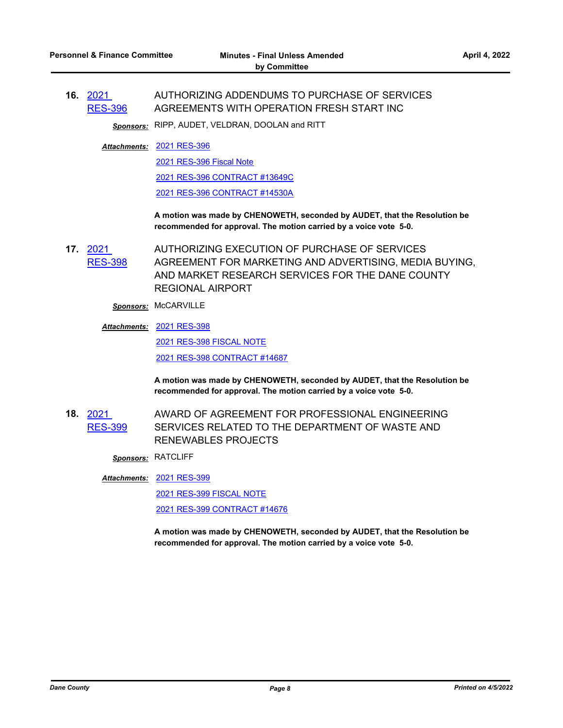**16.** 2021 [RES-396](http://dane.legistar.com/gateway.aspx?m=l&id=/matter.aspx?key=22404) AUTHORIZING ADDENDUMS TO PURCHASE OF SERVICES AGREEMENTS WITH OPERATION FRESH START INC

*Sponsors:* RIPP, AUDET, VELDRAN, DOOLAN and RITT

[2021 RES-396](http://dane.legistar.com/gateway.aspx?M=F&ID=0f7f394b-a317-4dc4-aa58-3b1945f6814e.pdf) *Attachments:*

[2021 RES-396 Fiscal Note](http://dane.legistar.com/gateway.aspx?M=F&ID=bead2f46-096e-49ff-896f-2a3fbcbf4314.pdf) [2021 RES-396 CONTRACT #13649C](http://dane.legistar.com/gateway.aspx?M=F&ID=47c44209-f73d-4d7c-bbdd-5d684f5de3cf.pdf) [2021 RES-396 CONTRACT #14530A](http://dane.legistar.com/gateway.aspx?M=F&ID=31187149-3b51-453f-8fab-ced5f66e1592.pdf)

**A motion was made by CHENOWETH, seconded by AUDET, that the Resolution be recommended for approval. The motion carried by a voice vote 5-0.**

- **17.** 2021 [RES-398](http://dane.legistar.com/gateway.aspx?m=l&id=/matter.aspx?key=22407) AUTHORIZING EXECUTION OF PURCHASE OF SERVICES AGREEMENT FOR MARKETING AND ADVERTISING, MEDIA BUYING, AND MARKET RESEARCH SERVICES FOR THE DANE COUNTY REGIONAL AIRPORT
	- *Sponsors:* McCARVILLE
	- [2021 RES-398](http://dane.legistar.com/gateway.aspx?M=F&ID=91e94a54-0e2c-4848-bb6b-5a2d080fa803.pdf) *Attachments:* [2021 RES-398 FISCAL NOTE](http://dane.legistar.com/gateway.aspx?M=F&ID=9e2cbdc8-cddf-45ee-951b-9ba97806bfb3.pdf)

[2021 RES-398 CONTRACT #14687](http://dane.legistar.com/gateway.aspx?M=F&ID=e6ff55b5-9b27-45a1-90b4-f4efd7453765.pdf)

**A motion was made by CHENOWETH, seconded by AUDET, that the Resolution be recommended for approval. The motion carried by a voice vote 5-0.**

- **18.** 2021 [RES-399](http://dane.legistar.com/gateway.aspx?m=l&id=/matter.aspx?key=22410) AWARD OF AGREEMENT FOR PROFESSIONAL ENGINEERING SERVICES RELATED TO THE DEPARTMENT OF WASTE AND RENEWABLES PROJECTS
	- *Sponsors:* RATCLIFF

[2021 RES-399](http://dane.legistar.com/gateway.aspx?M=F&ID=5c1def44-4648-4c73-b82a-a158a9a72d5b.pdf) *Attachments:*

[2021 RES-399 FISCAL NOTE](http://dane.legistar.com/gateway.aspx?M=F&ID=e93ca587-c7eb-4b7a-9bd1-f033f3973266.pdf)

[2021 RES-399 CONTRACT #14676](http://dane.legistar.com/gateway.aspx?M=F&ID=76afa246-06ed-4e09-a607-59f22a75d8f1.pdf)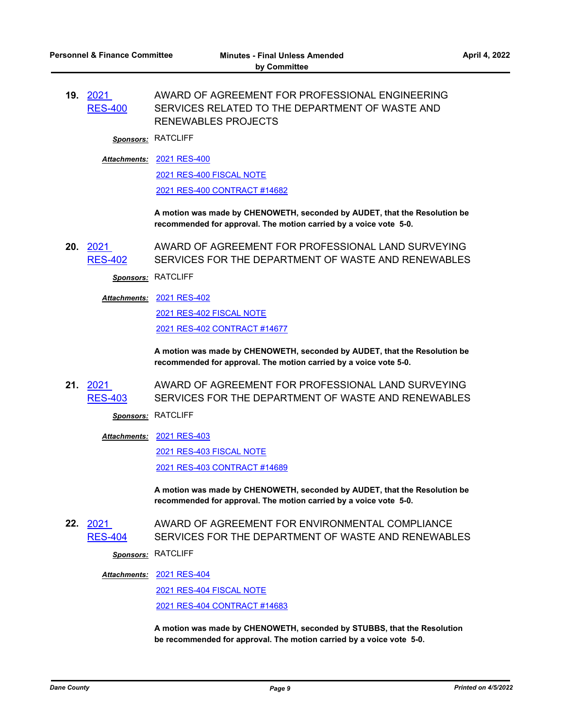#### **19.** 2021 [RES-400](http://dane.legistar.com/gateway.aspx?m=l&id=/matter.aspx?key=22411) AWARD OF AGREEMENT FOR PROFESSIONAL ENGINEERING SERVICES RELATED TO THE DEPARTMENT OF WASTE AND RENEWABLES PROJECTS

*Sponsors:* RATCLIFF

#### [2021 RES-400](http://dane.legistar.com/gateway.aspx?M=F&ID=4da6e1a3-9dcb-4e95-bb28-d2ded02e0012.pdf) *Attachments:*

[2021 RES-400 FISCAL NOTE](http://dane.legistar.com/gateway.aspx?M=F&ID=175b742c-77a4-47b0-ba23-8cf010e3cd46.pdf)

[2021 RES-400 CONTRACT #14682](http://dane.legistar.com/gateway.aspx?M=F&ID=551b5a15-c724-4d24-94c6-d2049089516e.pdf)

**A motion was made by CHENOWETH, seconded by AUDET, that the Resolution be recommended for approval. The motion carried by a voice vote 5-0.**

**20.** 2021 [RES-402](http://dane.legistar.com/gateway.aspx?m=l&id=/matter.aspx?key=22413) AWARD OF AGREEMENT FOR PROFESSIONAL LAND SURVEYING SERVICES FOR THE DEPARTMENT OF WASTE AND RENEWABLES

*Sponsors:* RATCLIFF

#### [2021 RES-402](http://dane.legistar.com/gateway.aspx?M=F&ID=0bffbade-94f0-4b20-a2ee-422304b2015b.pdf) *Attachments:*

[2021 RES-402 FISCAL NOTE](http://dane.legistar.com/gateway.aspx?M=F&ID=2a2d6afc-5011-4525-b63e-9585515cbf57.pdf) [2021 RES-402 CONTRACT #14677](http://dane.legistar.com/gateway.aspx?M=F&ID=7daf888d-ec55-40b7-95a5-47baa3b58c12.pdf)

**A motion was made by CHENOWETH, seconded by AUDET, that the Resolution be recommended for approval. The motion carried by a voice vote 5-0.**

#### **21.** 2021 [RES-403](http://dane.legistar.com/gateway.aspx?m=l&id=/matter.aspx?key=22414) AWARD OF AGREEMENT FOR PROFESSIONAL LAND SURVEYING SERVICES FOR THE DEPARTMENT OF WASTE AND RENEWABLES

*Sponsors:* RATCLIFF

[2021 RES-403](http://dane.legistar.com/gateway.aspx?M=F&ID=ae1c24bb-efa8-4c35-8a7d-40c8128d98dd.pdf) *Attachments:*

[2021 RES-403 FISCAL NOTE](http://dane.legistar.com/gateway.aspx?M=F&ID=2f258008-0b79-40c5-98fa-fa64d9035e4b.pdf) [2021 RES-403 CONTRACT #14689](http://dane.legistar.com/gateway.aspx?M=F&ID=166a6528-c0c8-4eb1-a2be-b481f725ba24.pdf)

**A motion was made by CHENOWETH, seconded by AUDET, that the Resolution be recommended for approval. The motion carried by a voice vote 5-0.**

**22.** 2021 [RES-404](http://dane.legistar.com/gateway.aspx?m=l&id=/matter.aspx?key=22415) AWARD OF AGREEMENT FOR ENVIRONMENTAL COMPLIANCE SERVICES FOR THE DEPARTMENT OF WASTE AND RENEWABLES

*Sponsors:* RATCLIFF

#### [2021 RES-404](http://dane.legistar.com/gateway.aspx?M=F&ID=1c4193ed-8d40-4d0f-aa60-1f60b3d9d2a7.pdf) *Attachments:*

[2021 RES-404 FISCAL NOTE](http://dane.legistar.com/gateway.aspx?M=F&ID=8a356e8a-53e7-4e84-96fc-94b961c39633.pdf) [2021 RES-404 CONTRACT #14683](http://dane.legistar.com/gateway.aspx?M=F&ID=b4ff831d-b243-49da-bc3c-08d65ccd696b.pdf)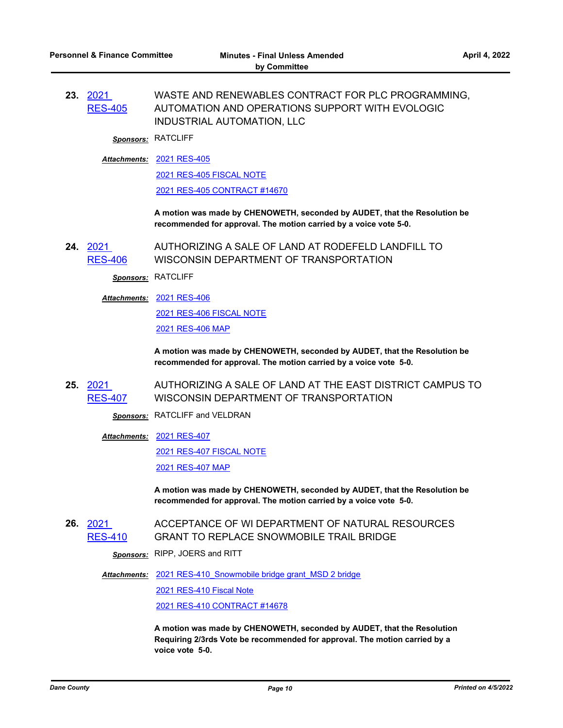**23.** 2021 [RES-405](http://dane.legistar.com/gateway.aspx?m=l&id=/matter.aspx?key=22416) WASTE AND RENEWABLES CONTRACT FOR PLC PROGRAMMING, AUTOMATION AND OPERATIONS SUPPORT WITH EVOLOGIC INDUSTRIAL AUTOMATION, LLC

*Sponsors:* RATCLIFF

[2021 RES-405](http://dane.legistar.com/gateway.aspx?M=F&ID=b5431f31-1a42-46eb-a62c-6cd4cfbc679f.pdf) *Attachments:*

[2021 RES-405 FISCAL NOTE](http://dane.legistar.com/gateway.aspx?M=F&ID=93157ee7-0edf-4681-b5bd-1e0ed02ab8ec.pdf)

[2021 RES-405 CONTRACT #14670](http://dane.legistar.com/gateway.aspx?M=F&ID=38f665e6-000f-41f3-8008-bb7592d8bfee.pdf)

**A motion was made by CHENOWETH, seconded by AUDET, that the Resolution be recommended for approval. The motion carried by a voice vote 5-0.**

**24.** 2021 [RES-406](http://dane.legistar.com/gateway.aspx?m=l&id=/matter.aspx?key=22420) AUTHORIZING A SALE OF LAND AT RODEFELD LANDFILL TO WISCONSIN DEPARTMENT OF TRANSPORTATION

*Sponsors:* RATCLIFF

[2021 RES-406](http://dane.legistar.com/gateway.aspx?M=F&ID=0ed38370-3376-4459-90f0-fce8cbb527c1.pdf) *Attachments:*

[2021 RES-406 FISCAL NOTE](http://dane.legistar.com/gateway.aspx?M=F&ID=d7a02ac8-9f60-498c-89ba-e078ba628d8c.pdf) [2021 RES-406 MAP](http://dane.legistar.com/gateway.aspx?M=F&ID=612aed60-693a-4d33-8dfb-0c42aca323f9.pdf)

**A motion was made by CHENOWETH, seconded by AUDET, that the Resolution be recommended for approval. The motion carried by a voice vote 5-0.**

**25.** 2021 [RES-407](http://dane.legistar.com/gateway.aspx?m=l&id=/matter.aspx?key=22421) AUTHORIZING A SALE OF LAND AT THE EAST DISTRICT CAMPUS TO WISCONSIN DEPARTMENT OF TRANSPORTATION

*Sponsors:* RATCLIFF and VELDRAN

[2021 RES-407](http://dane.legistar.com/gateway.aspx?M=F&ID=7c2f9a50-b47f-47db-aaa4-6411c67763e0.pdf) *Attachments:*

[2021 RES-407 FISCAL NOTE](http://dane.legistar.com/gateway.aspx?M=F&ID=221aaca6-f8de-48d3-a1f3-0ad17d2c6104.pdf)

[2021 RES-407 MAP](http://dane.legistar.com/gateway.aspx?M=F&ID=a02b3906-a1b2-43ea-99ca-0d0918bfd85a.pdf)

**A motion was made by CHENOWETH, seconded by AUDET, that the Resolution be recommended for approval. The motion carried by a voice vote 5-0.**

**26.** 2021 [RES-410](http://dane.legistar.com/gateway.aspx?m=l&id=/matter.aspx?key=22506) ACCEPTANCE OF WI DEPARTMENT OF NATURAL RESOURCES GRANT TO REPLACE SNOWMOBILE TRAIL BRIDGE

*Sponsors:* RIPP, JOERS and RITT

Attachments: 2021 RES-410 Snowmobile bridge grant MSD 2 bridge

[2021 RES-410 Fiscal Note](http://dane.legistar.com/gateway.aspx?M=F&ID=79a17821-7520-4277-829c-8d847cb574fe.pdf)

[2021 RES-410 CONTRACT #14678](http://dane.legistar.com/gateway.aspx?M=F&ID=16c91c28-f67a-4ba8-aac3-6295bcbaea13.pdf)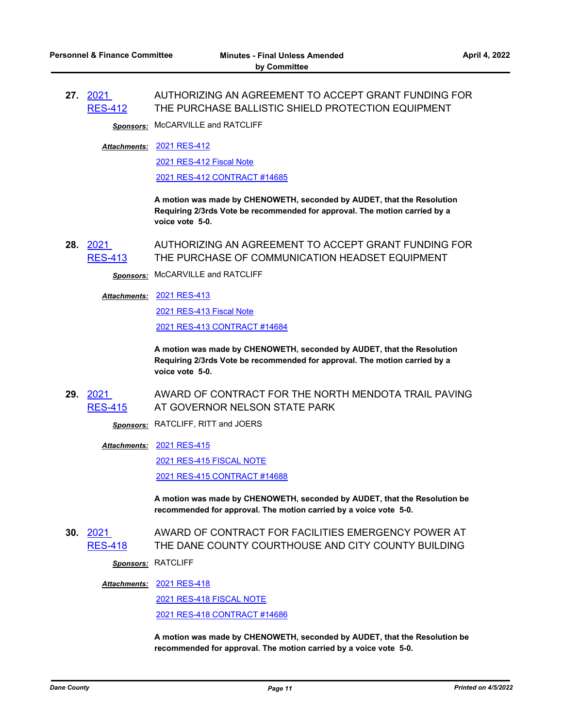#### **27.** 2021 [RES-412](http://dane.legistar.com/gateway.aspx?m=l&id=/matter.aspx?key=22512) AUTHORIZING AN AGREEMENT TO ACCEPT GRANT FUNDING FOR THE PURCHASE BALLISTIC SHIELD PROTECTION EQUIPMENT

*Sponsors:* McCARVILLE and RATCLIFF

[2021 RES-412](http://dane.legistar.com/gateway.aspx?M=F&ID=28dc6040-b8eb-466a-9408-2a8d724a7798.pdf) *Attachments:*

[2021 RES-412 Fiscal Note](http://dane.legistar.com/gateway.aspx?M=F&ID=7f1d20e7-d5aa-448f-a35a-adc3c5a4692a.pdf)

[2021 RES-412 CONTRACT #14685](http://dane.legistar.com/gateway.aspx?M=F&ID=3aa5608f-51a7-4461-850d-e864ee9c86d5.pdf)

**A motion was made by CHENOWETH, seconded by AUDET, that the Resolution Requiring 2/3rds Vote be recommended for approval. The motion carried by a voice vote 5-0.**

**28.** 2021 [RES-413](http://dane.legistar.com/gateway.aspx?m=l&id=/matter.aspx?key=22513) AUTHORIZING AN AGREEMENT TO ACCEPT GRANT FUNDING FOR THE PURCHASE OF COMMUNICATION HEADSET EQUIPMENT

*Sponsors:* McCARVILLE and RATCLIFF

[2021 RES-413](http://dane.legistar.com/gateway.aspx?M=F&ID=604fdc72-ba22-4a4c-abcd-36f11e42d175.pdf) *Attachments:*

[2021 RES-413 Fiscal Note](http://dane.legistar.com/gateway.aspx?M=F&ID=8bac9888-b26b-4a26-91e9-7acab02c764d.pdf) [2021 RES-413 CONTRACT #14684](http://dane.legistar.com/gateway.aspx?M=F&ID=cf8a99db-214d-4409-9022-000e6f3e33bf.pdf)

**A motion was made by CHENOWETH, seconded by AUDET, that the Resolution Requiring 2/3rds Vote be recommended for approval. The motion carried by a voice vote 5-0.**

**29.** 2021 [RES-415](http://dane.legistar.com/gateway.aspx?m=l&id=/matter.aspx?key=22517) AWARD OF CONTRACT FOR THE NORTH MENDOTA TRAIL PAVING AT GOVERNOR NELSON STATE PARK

*Sponsors:* RATCLIFF, RITT and JOERS

[2021 RES-415](http://dane.legistar.com/gateway.aspx?M=F&ID=fd858b08-fbe6-46fd-b074-b8907a568e99.pdf) *Attachments:*

[2021 RES-415 FISCAL NOTE](http://dane.legistar.com/gateway.aspx?M=F&ID=08d21d02-38fb-4681-b561-e510fdfc110f.pdf)

[2021 RES-415 CONTRACT #14688](http://dane.legistar.com/gateway.aspx?M=F&ID=5a2578f8-0ae6-4ad9-b175-a1cdf7354eff.pdf)

**A motion was made by CHENOWETH, seconded by AUDET, that the Resolution be recommended for approval. The motion carried by a voice vote 5-0.**

**30.** 2021 [RES-418](http://dane.legistar.com/gateway.aspx?m=l&id=/matter.aspx?key=22525) AWARD OF CONTRACT FOR FACILITIES EMERGENCY POWER AT THE DANE COUNTY COURTHOUSE AND CITY COUNTY BUILDING

*Sponsors:* RATCLIFF

[2021 RES-418](http://dane.legistar.com/gateway.aspx?M=F&ID=01829694-55ae-4255-9a1e-091d85606a1d.pdf) *Attachments:*

[2021 RES-418 FISCAL NOTE](http://dane.legistar.com/gateway.aspx?M=F&ID=a2bf3a57-c1f8-4a23-9a01-f7503be30506.pdf) [2021 RES-418 CONTRACT #14686](http://dane.legistar.com/gateway.aspx?M=F&ID=2f1d4fc5-1585-4f2b-9f84-94f3a9e5b4ce.pdf)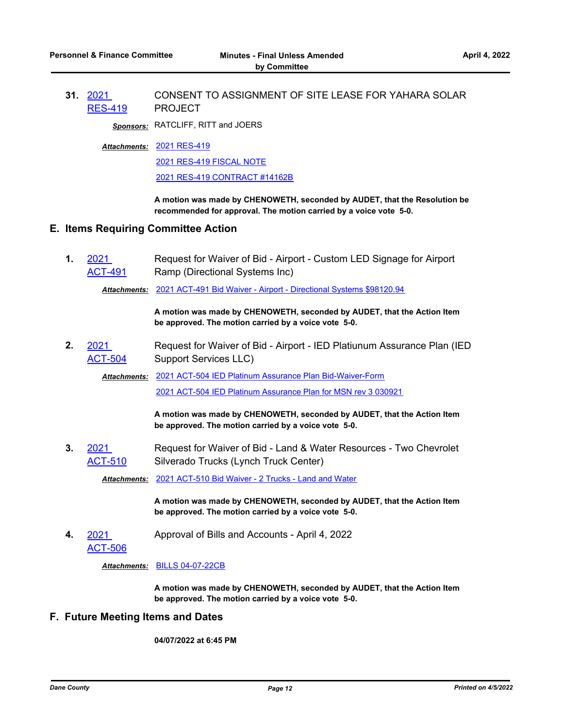**31.** 2021 [RES-419](http://dane.legistar.com/gateway.aspx?m=l&id=/matter.aspx?key=22531) CONSENT TO ASSIGNMENT OF SITE LEASE FOR YAHARA SOLAR PROJECT

*Sponsors:* RATCLIFF, RITT and JOERS

[2021 RES-419](http://dane.legistar.com/gateway.aspx?M=F&ID=d7ed9361-4b63-4d36-b2e7-f4fe87f8d558.pdf) *Attachments:*

[2021 RES-419 FISCAL NOTE](http://dane.legistar.com/gateway.aspx?M=F&ID=2e704b05-5713-42f0-88cb-6652bd172986.pdf)

[2021 RES-419 CONTRACT #14162B](http://dane.legistar.com/gateway.aspx?M=F&ID=7aef46be-2e41-4b78-9b61-fb9d859e5546.pdf)

**A motion was made by CHENOWETH, seconded by AUDET, that the Resolution be recommended for approval. The motion carried by a voice vote 5-0.**

#### **E. Items Requiring Committee Action**

**1.** 2021 [ACT-491](http://dane.legistar.com/gateway.aspx?m=l&id=/matter.aspx?key=22484) Request for Waiver of Bid - Airport - Custom LED Signage for Airport Ramp (Directional Systems Inc)

*Attachments:* [2021 ACT-491 Bid Waiver - Airport - Directional Systems \\$98120.94](http://dane.legistar.com/gateway.aspx?M=F&ID=6d57e26b-7a6d-4fbd-8831-50f7d7fb8b48.pdf)

**A motion was made by CHENOWETH, seconded by AUDET, that the Action Item be approved. The motion carried by a voice vote 5-0.**

**2.** 2021 [ACT-504](http://dane.legistar.com/gateway.aspx?m=l&id=/matter.aspx?key=22532) Request for Waiver of Bid - Airport - IED Platiunum Assurance Plan (IED Support Services LLC)

Attachments: [2021 ACT-504 IED Platinum Assurance Plan Bid-Waiver-Form](http://dane.legistar.com/gateway.aspx?M=F&ID=b897ff59-dcb0-41a0-a642-55de15d36ee7.pdf)

[2021 ACT-504 IED Platinum Assurance Plan for MSN rev 3 030921](http://dane.legistar.com/gateway.aspx?M=F&ID=0c8206bc-7a9f-450a-9135-5a1dbaa95eb0.pdf)

**A motion was made by CHENOWETH, seconded by AUDET, that the Action Item be approved. The motion carried by a voice vote 5-0.**

**3.** 2021 [ACT-510](http://dane.legistar.com/gateway.aspx?m=l&id=/matter.aspx?key=22616) Request for Waiver of Bid - Land & Water Resources - Two Chevrolet Silverado Trucks (Lynch Truck Center)

*Attachments:* [2021 ACT-510 Bid Waiver - 2 Trucks - Land and Water](http://dane.legistar.com/gateway.aspx?M=F&ID=407ee97c-09e2-4e60-8ebe-df90794d4e43.pdf)

**A motion was made by CHENOWETH, seconded by AUDET, that the Action Item be approved. The motion carried by a voice vote 5-0.**

- **4.** 2021 Approval of Bills and Accounts - April 4, 2022
	- [ACT-506](http://dane.legistar.com/gateway.aspx?m=l&id=/matter.aspx?key=22576)

*Attachments:* [BILLS 04-07-22CB](http://dane.legistar.com/gateway.aspx?M=F&ID=497e8129-89a6-4029-b9cc-dd8b385f945e.pdf)

**A motion was made by CHENOWETH, seconded by AUDET, that the Action Item be approved. The motion carried by a voice vote 5-0.**

### **F. Future Meeting Items and Dates**

**04/07/2022 at 6:45 PM**